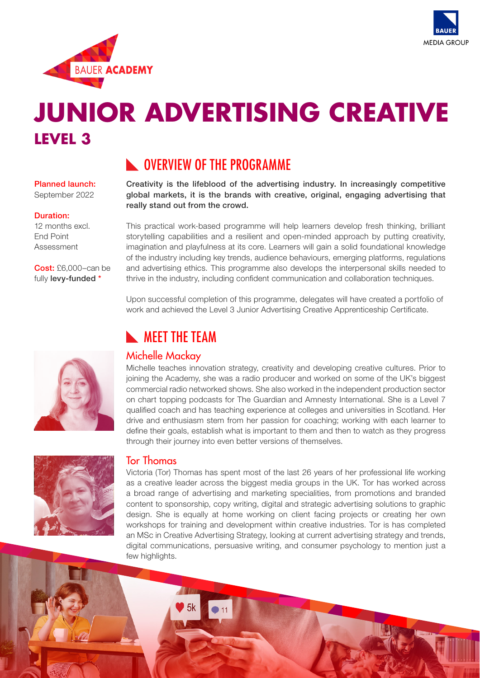



# **JUNIOR ADVERTISING CREATIVE LEVEL 3**

## **NUMBER OVERVIEW OF THE PROGRAMME**

#### Planned launch: September 2022

#### Duration:

12 months excl. End Point Assessment

Cost: £6,000–can be fully levy-funded \*



Creativity is the lifeblood of the advertising industry. In increasingly competitive global markets, it is the brands with creative, original, engaging advertising that really stand out from the crowd.

This practical work-based programme will help learners develop fresh thinking, brilliant storytelling capabilities and a resilient and open-minded approach by putting creativity, imagination and playfulness at its core. Learners will gain a solid foundational knowledge of the industry including key trends, audience behaviours, emerging platforms, regulations and advertising ethics. This programme also develops the interpersonal skills needed to thrive in the industry, including confident communication and collaboration techniques.

Upon successful completion of this programme, delegates will have created a portfolio of work and achieved the Level 3 Junior Advertising Creative Apprenticeship Certificate.

## **NEET THE TEAM**

### Michelle Mackay

Michelle teaches innovation strategy, creativity and developing creative cultures. Prior to joining the Academy, she was a radio producer and worked on some of the UK's biggest commercial radio networked shows. She also worked in the independent production sector on chart topping podcasts for The Guardian and Amnesty International. She is a Level 7 qualified coach and has teaching experience at colleges and universities in Scotland. Her drive and enthusiasm stem from her passion for coaching; working with each learner to define their goals, establish what is important to them and then to watch as they progress through their journey into even better versions of themselves.



#### Tor Thomas

Victoria (Tor) Thomas has spent most of the last 26 years of her professional life working as a creative leader across the biggest media groups in the UK. Tor has worked across a broad range of advertising and marketing specialities, from promotions and branded content to sponsorship, copy writing, digital and strategic advertising solutions to graphic design. She is equally at home working on client facing projects or creating her own workshops for training and development within creative industries. Tor is has completed an MSc in Creative Advertising Strategy, looking at current advertising strategy and trends, digital communications, persuasive writing, and consumer psychology to mention just a few highlights.